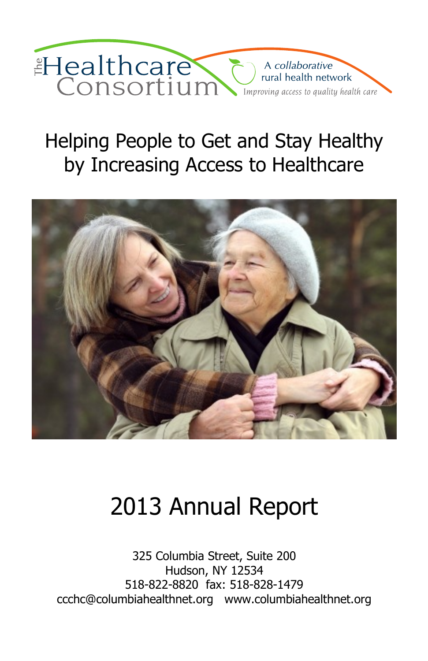

# Helping People to Get and Stay Healthy by Increasing Access to Healthcare



# 2013 Annual Report

325 Columbia Street, Suite 200 Hudson, NY 12534 518-822-8820 fax: 518-828-1479 ccchc@columbiahealthnet.org www.columbiahealthnet.org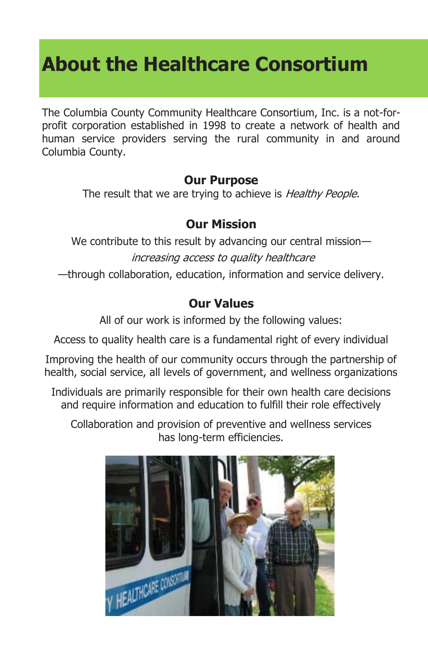# **About the Healthcare Consortium**

The Columbia County Community Healthcare Consortium, Inc. is a not-forprofit corporation established in 1998 to create a network of health and human service providers serving the rural community in and around Columbia County.

### **Our Purpose**

The result that we are trying to achieve is *Healthy People*.

### **Our Mission**

We contribute to this result by advancing our central mission increasing access to quality healthcare —through collaboration, education, information and service delivery.

### **Our Values**

All of our work is informed by the following values:

Access to quality health care is a fundamental right of every individual

Improving the health of our community occurs through the partnership of health, social service, all levels of government, and wellness organizations

Individuals are primarily responsible for their own health care decisions and require information and education to fulfill their role effectively

Collaboration and provision of preventive and wellness services has long-term efficiencies.

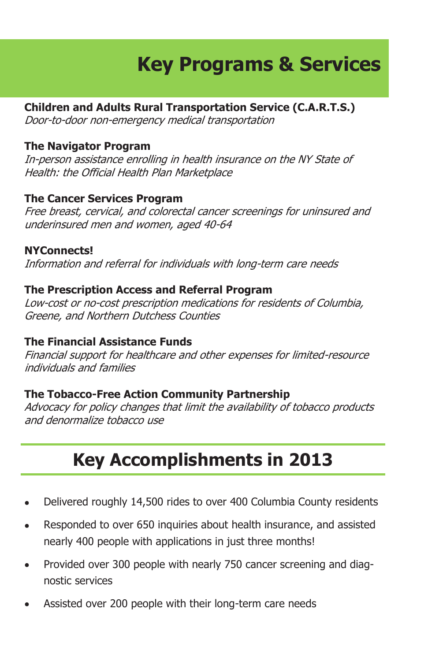# **Key Programs & Services**

### **Children and Adults Rural Transportation Service (C.A.R.T.S.)**

Door-to-door non-emergency medical transportation

### **The Navigator Program**

In-person assistance enrolling in health insurance on the NY State of Health: the Official Health Plan Marketplace

### **The Cancer Services Program**

Free breast, cervical, and colorectal cancer screenings for uninsured and underinsured men and women, aged 40-64

### **NYConnects!**

Information and referral for individuals with long-term care needs

### **The Prescription Access and Referral Program**

Low-cost or no-cost prescription medications for residents of Columbia, Greene, and Northern Dutchess Counties

### **The Financial Assistance Funds**

Financial support for healthcare and other expenses for limited-resource individuals and families

### **The Tobacco-Free Action Community Partnership**

Advocacy for policy changes that limit the availability of tobacco products and denormalize tobacco use

## **Key Accomplishments in 2013**

- Delivered roughly 14,500 rides to over 400 Columbia County residents
- Responded to over 650 inquiries about health insurance, and assisted  $\bullet$ nearly 400 people with applications in just three months!
- Provided over 300 people with nearly 750 cancer screening and diag- $\bullet$ nostic services
- Assisted over 200 people with their long-term care needs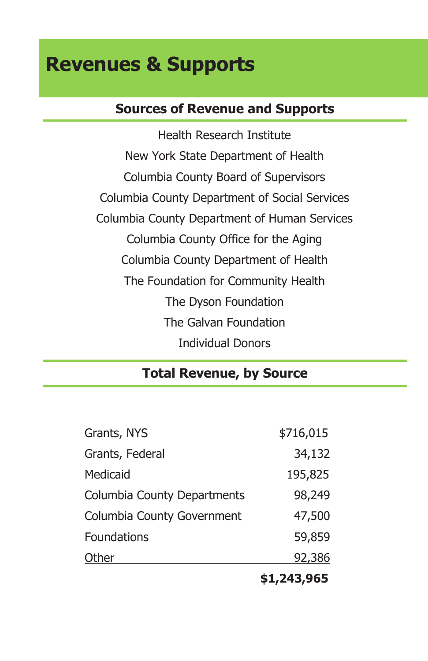## **Revenues & Supports**

## **Sources of Revenue and Supports**

Health Research Institute New York State Department of Health Columbia County Board of Supervisors Columbia County Department of Social Services Columbia County Department of Human Services Columbia County Office for the Aging Columbia County Department of Health The Foundation for Community Health The Dyson Foundation The Galvan Foundation Individual Donors

## **Total Revenue, by Source**

|                                    | \$1,243,965 |
|------------------------------------|-------------|
| Other                              | 92,386      |
| Foundations                        | 59,859      |
| Columbia County Government         | 47,500      |
| <b>Columbia County Departments</b> | 98,249      |
| Medicaid                           | 195,825     |
| Grants, Federal                    | 34,132      |
| Grants, NYS                        | \$716,015   |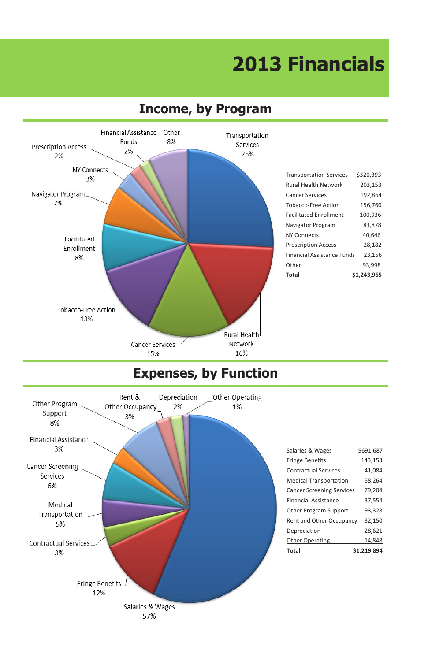### **About the Healthcare Consortium Key Programs & Services Revenues & Supports 2013 Financials About the Healthcare Consortium Key Programs & Services Revenues & Supports 2013 Financials**



### **Sources 3 Income, by Program**





| Salaries & Wages                 | \$691,687   |
|----------------------------------|-------------|
| <b>Fringe Benefits</b>           | 143,153     |
| <b>Contractual Services</b>      | 41.084      |
| <b>Medical Transportation</b>    | 58,264      |
| <b>Cancer Screening Services</b> | 79.204      |
| <b>Financial Assistance</b>      | 37.554      |
| Other Program Support            | 93.328      |
| Rent and Other Occupancy         | 32.150      |
| Depreciation                     | 28.621      |
| Other Operating                  | 14.848      |
| Total                            | \$1.219.894 |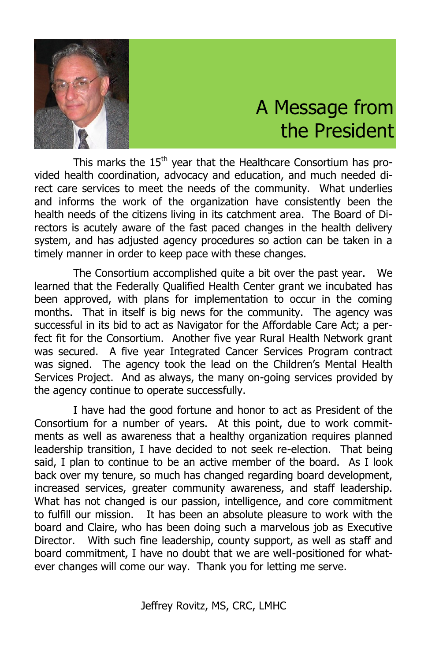

## A Message from A Message from the President the President

This marks the 15<sup>th</sup> year that the Healthcare Consortium has provided health coordination, advocacy and education, and much needed di-vided health coordination, advocacy and education, and much needed direct care services to meet the needs of the community. What underlies rect care services to meet the needs of the community. What underlies and informs the work of the organization have consistently been the and informs the work of the organization have consistently been the health needs of the citizens living in its catchment area. The Board of Di-health needs of the citizens living in its catchment area. The Board of Directors is acutely aware of the fast paced changes in the health delivery rectors is acutely aware of the fast paced changes in the health delivery system, and has adjusted agency procedures so action can be taken in a system, and has adjusted agency procedures so action can be taken in a timely manner in order to keep pace with these changes. timely manner in order to keep pace with these changes.

The Consortium accomplished quite a bit over the past year. We The Consortium accomplished quite a bit over the past year. We learned that the Federally Qualified Health Center grant we incubated has learned that the Federally Qualified Health Center grant we incubated has been approved, with plans for implementation to occur in the coming been approved, with plans for implementation to occur in the coming months. That in itself is big news for the community. The agency was months. That in itself is big news for the community. The agency was successful in its bid to act as Navigator for the Affordable Care Act; a per-successful in its bid to act as Navigator for the Affordable Care Act; a perfect fit for the Consortium. Another five year Rural Health Network grant fect fit for the Consortium. Another five year Rural Health Network grant was secured. A five year Integrated Cancer Services Program contract was secured. A five year Integrated Cancer Services Program contract was signed. The agency took the lead on the Children's Mental Health was signed. The agency took the lead on the Children's Mental Health Services Project. And as always, the many on-going services provided by Services Project. And as always, the many on-going services provided by the agency continue to operate successfully. the agency continue to operate successfully.

I have had the good fortune and honor to act as President of the I have had the good fortune and honor to act as President of the Consortium for a number of years. At this point, due to work commit-Consortium for a number of years. At this point, due to work commitments as well as awareness that a healthy organization requires planned ments as well as awareness that a healthy organization requires planned leadership transition, I have decided to not seek re-election. That being leadership transition, I have decided to not seek re-election. That being said, I plan to continue to be an active member of the board. As I look said, I plan to continue to be an active member of the board. As I look back over my tenure, so much has changed regarding board development, back over my tenure, so much has changed regarding board development, increased services, greater community awareness, and staff leadership. increased services, greater community awareness, and staff leadership. What has not changed is our passion, intelligence, and core commitment What has not changed is our passion, intelligence, and core commitment to fulfill our mission. It has been an absolute pleasure to work with the to fulfill our mission. It has been an absolute pleasure to work with the board and Claire, who has been doing such a marvelous job as Executive board and Claire, who has been doing such a marvelous job as Executive Director. With such fine leadership, county support, as well as staff and Director. With such fine leadership, county support, as well as staff and board commitment, I have no doubt that we are well-positioned for what-board commitment, I have no doubt that we are well-positioned for whatever changes will come our way. Thank you for letting me serve. ever changes will come our way. Thank you for letting me serve.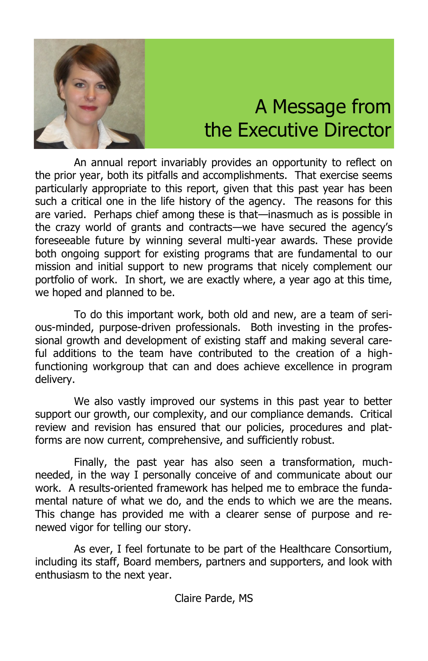

# A Message from A Message from the Executive Director Executive Director

An annual report invariably provides an opportunity to reflect on An annual report invariably provides an opportunity to reflect on the prior year, both its pitfalls and accomplishments. That exercise seems the prior year, both its pitfalls and accomplishments. That exercise seems particularly appropriate to this report, given that this past year has been particularly appropriate to this report, given that this past year has been such a critical one in the life history of the agency. The reasons for this such a critical one in the life history of the agency. The reasons for this are varied. Perhaps chief among these is that—inasmuch as is possible in are varied. Perhaps chief among these is that—inasmuch as is possible in the crazy world of grants and contracts—we have secured the agency's the crazy world of grants and contracts—we have secured the agency's foreseeable future by winning several multi-year awards. These provide foreseeable future by winning several multi-year awards. These provide both ongoing support for existing programs that are fundamental to our both ongoing support for existing programs that are fundamental to our mission and initial support to new programs that nicely complement our mission and initial support to new programs that nicely complement our portfolio of work. In short, we are exactly where, a year ago at this time, portfolio of work. In short, we are exactly where, a year ago at this time, we hoped and planned to be. we hoped and planned to be.

To do this important work, both old and new, are a team of seri-To do this important work, both old and new, are a team of serious-minded, purpose-driven professionals. Both investing in the profes-ous-minded, purpose-driven professionals. Both investing in the professional growth and development of existing staff and making several care-sional growth and development of existing staff and making several careful additions to the team have contributed to the creation of a high-ful additions to the team have contributed to the creation of a highfunctioning workgroup that can and does achieve excellence in program functioning workgroup that can and does achieve excellence in program delivery. delivery.

We also vastly improved our systems in this past year to better We also vastly improved our systems in this past year to better support our growth, our complexity, and our compliance demands. Critical support our growth, our complexity, and our compliance demands. Critical review and revision has ensured that our policies, procedures and plat-review and revision has ensured that our policies, procedures and platforms are now current, comprehensive, and sufficiently robust. forms are now current, comprehensive, and sufficiently robust.

Finally, the past year has also seen a transformation, much-Finally, the past year has also seen a transformation, muchneeded, in the way I personally conceive of and communicate about our work. A results-oriented framework has helped me to embrace the funda-work. A results-oriented framework has helped me to embrace the fundamental nature of what we do, and the ends to which we are the means. mental nature of what we do, and the ends to which we are the means. This change has provided me with a clearer sense of purpose and re-This change has provided me with a clearer sense of purpose and renewed vigor for telling our story. newed vigor for telling our story.

As ever, I feel fortunate to be part of the Healthcare Consortium, As ever, I feel fortunate to be part of the Healthcare Consortium, including its staff, Board members, partners and supporters, and look with including its staff, Board members, partners and supporters, and look with enthusiasm to the next year. enthusiasm to the next year.